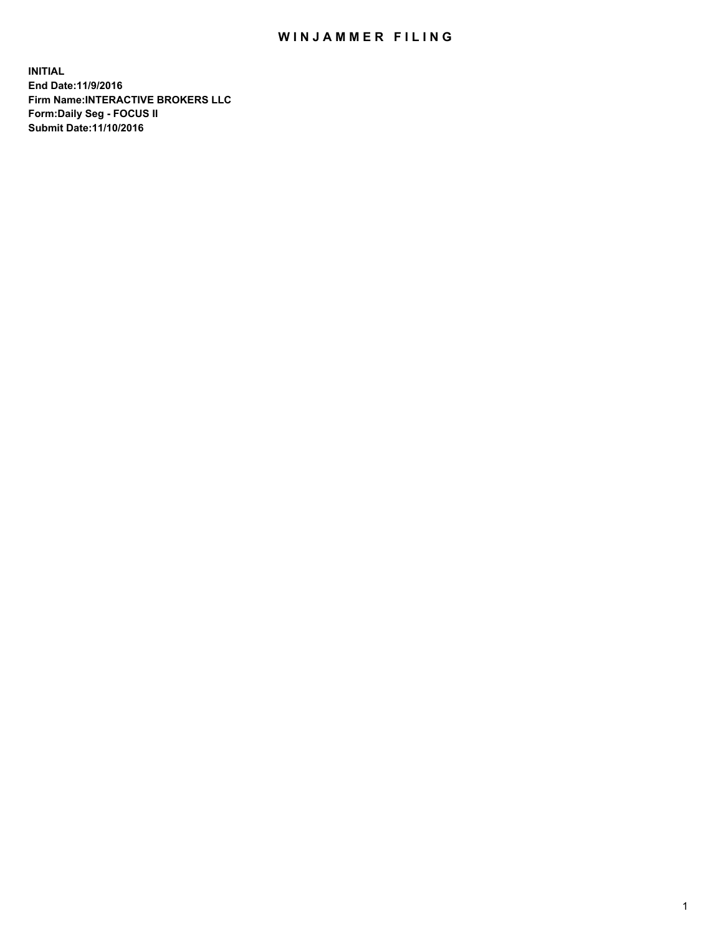## WIN JAMMER FILING

**INITIAL End Date:11/9/2016 Firm Name:INTERACTIVE BROKERS LLC Form:Daily Seg - FOCUS II Submit Date:11/10/2016**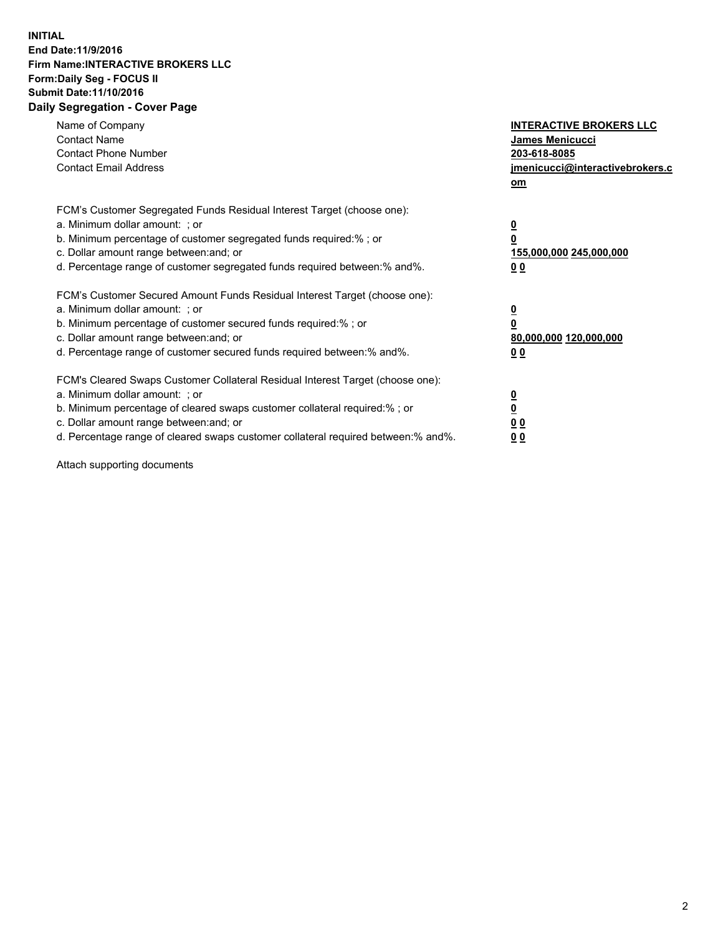## **INITIAL End Date:11/9/2016 Firm Name:INTERACTIVE BROKERS LLC Form:Daily Seg - FOCUS II Submit Date:11/10/2016 Daily Segregation - Cover Page**

| Name of Company<br><b>Contact Name</b><br><b>Contact Phone Number</b><br><b>Contact Email Address</b>                                                                                                                                                                                                                          | <b>INTERACTIVE BROKERS LLC</b><br><b>James Menicucci</b><br>203-618-8085<br>jmenicucci@interactivebrokers.c<br>om |
|--------------------------------------------------------------------------------------------------------------------------------------------------------------------------------------------------------------------------------------------------------------------------------------------------------------------------------|-------------------------------------------------------------------------------------------------------------------|
| FCM's Customer Segregated Funds Residual Interest Target (choose one):<br>a. Minimum dollar amount: ; or<br>b. Minimum percentage of customer segregated funds required:%; or<br>c. Dollar amount range between: and; or<br>d. Percentage range of customer segregated funds required between:% and%.                          | $\overline{\mathbf{0}}$<br>0<br>155,000,000 245,000,000<br>0 <sub>0</sub>                                         |
| FCM's Customer Secured Amount Funds Residual Interest Target (choose one):<br>a. Minimum dollar amount: ; or<br>b. Minimum percentage of customer secured funds required:%; or<br>c. Dollar amount range between: and; or<br>d. Percentage range of customer secured funds required between: % and %.                          | $\overline{\mathbf{0}}$<br>0<br>80,000,000 120,000,000<br>0 <sub>0</sub>                                          |
| FCM's Cleared Swaps Customer Collateral Residual Interest Target (choose one):<br>a. Minimum dollar amount: ; or<br>b. Minimum percentage of cleared swaps customer collateral required:% ; or<br>c. Dollar amount range between: and; or<br>d. Percentage range of cleared swaps customer collateral required between:% and%. | $\overline{\mathbf{0}}$<br>$\overline{\mathbf{0}}$<br>0 <sub>0</sub><br><u>00</u>                                 |

Attach supporting documents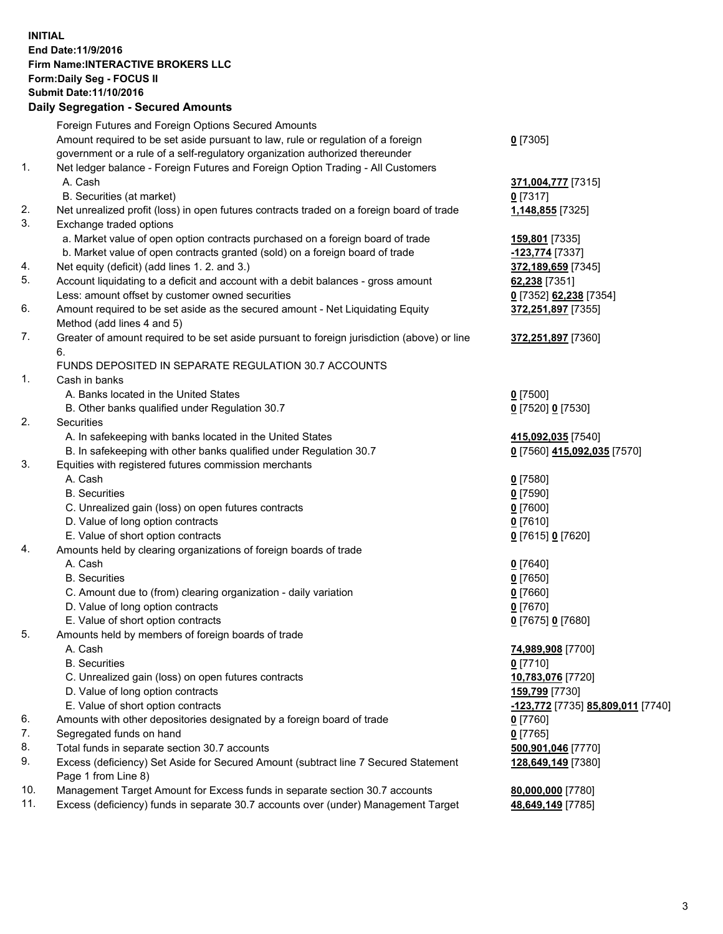## **INITIAL End Date:11/9/2016 Firm Name:INTERACTIVE BROKERS LLC Form:Daily Seg - FOCUS II Submit Date:11/10/2016 Daily Segregation - Secured Amounts**

|                | Daily Ocglegation - Occarea Anioants                                                        |                                   |
|----------------|---------------------------------------------------------------------------------------------|-----------------------------------|
|                | Foreign Futures and Foreign Options Secured Amounts                                         |                                   |
|                | Amount required to be set aside pursuant to law, rule or regulation of a foreign            | $0$ [7305]                        |
|                | government or a rule of a self-regulatory organization authorized thereunder                |                                   |
| 1.             | Net ledger balance - Foreign Futures and Foreign Option Trading - All Customers             |                                   |
|                | A. Cash                                                                                     | 371,004,777 [7315]                |
|                | B. Securities (at market)                                                                   | $0$ [7317]                        |
| 2.             | Net unrealized profit (loss) in open futures contracts traded on a foreign board of trade   | 1,148,855 [7325]                  |
| 3.             | Exchange traded options                                                                     |                                   |
|                | a. Market value of open option contracts purchased on a foreign board of trade              | 159,801 [7335]                    |
|                | b. Market value of open contracts granted (sold) on a foreign board of trade                | -123,774 [7337]                   |
| 4.             | Net equity (deficit) (add lines 1.2. and 3.)                                                | 372,189,659 [7345]                |
| 5.             | Account liquidating to a deficit and account with a debit balances - gross amount           | 62,238 [7351]                     |
|                | Less: amount offset by customer owned securities                                            | 0 [7352] 62,238 [7354]            |
| 6.             | Amount required to be set aside as the secured amount - Net Liquidating Equity              | 372,251,897 [7355]                |
|                | Method (add lines 4 and 5)                                                                  |                                   |
| 7.             | Greater of amount required to be set aside pursuant to foreign jurisdiction (above) or line | 372,251,897 [7360]                |
|                | 6.                                                                                          |                                   |
|                | FUNDS DEPOSITED IN SEPARATE REGULATION 30.7 ACCOUNTS                                        |                                   |
| $\mathbf{1}$ . | Cash in banks                                                                               |                                   |
|                | A. Banks located in the United States                                                       | $0$ [7500]                        |
|                | B. Other banks qualified under Regulation 30.7                                              | 0 [7520] 0 [7530]                 |
| 2.             | Securities                                                                                  |                                   |
|                | A. In safekeeping with banks located in the United States                                   | 415,092,035 [7540]                |
|                | B. In safekeeping with other banks qualified under Regulation 30.7                          | 0 [7560] 415,092,035 [7570]       |
| 3.             | Equities with registered futures commission merchants                                       |                                   |
|                | A. Cash                                                                                     | $0$ [7580]                        |
|                | <b>B.</b> Securities                                                                        | $0$ [7590]                        |
|                | C. Unrealized gain (loss) on open futures contracts                                         | $0$ [7600]                        |
|                | D. Value of long option contracts                                                           | $0$ [7610]                        |
|                | E. Value of short option contracts                                                          | 0 [7615] 0 [7620]                 |
| 4.             | Amounts held by clearing organizations of foreign boards of trade                           |                                   |
|                | A. Cash                                                                                     | $0$ [7640]                        |
|                | <b>B.</b> Securities                                                                        | $0$ [7650]                        |
|                | C. Amount due to (from) clearing organization - daily variation                             | $0$ [7660]                        |
|                | D. Value of long option contracts                                                           | $0$ [7670]                        |
|                | E. Value of short option contracts                                                          | 0 [7675] 0 [7680]                 |
| 5.             | Amounts held by members of foreign boards of trade                                          |                                   |
|                | A. Cash                                                                                     | 74,989,908 [7700]                 |
|                | <b>B.</b> Securities                                                                        | $0$ [7710]                        |
|                | C. Unrealized gain (loss) on open futures contracts                                         | 10,783,076 [7720]                 |
|                | D. Value of long option contracts                                                           | 159,799 [7730]                    |
|                | E. Value of short option contracts                                                          | -123,772 [7735] 85,809,011 [7740] |
| 6.             | Amounts with other depositories designated by a foreign board of trade                      | 0 [7760]                          |
| 7.             | Segregated funds on hand                                                                    | $0$ [7765]                        |
| 8.             | Total funds in separate section 30.7 accounts                                               | 500,901,046 [7770]                |
| 9.             | Excess (deficiency) Set Aside for Secured Amount (subtract line 7 Secured Statement         | 128,649,149 [7380]                |
|                | Page 1 from Line 8)                                                                         |                                   |
| 10.            | Management Target Amount for Excess funds in separate section 30.7 accounts                 | 80,000,000 [7780]                 |
| 11.            | Excess (deficiency) funds in separate 30.7 accounts over (under) Management Target          | 48,649,149 [7785]                 |
|                |                                                                                             |                                   |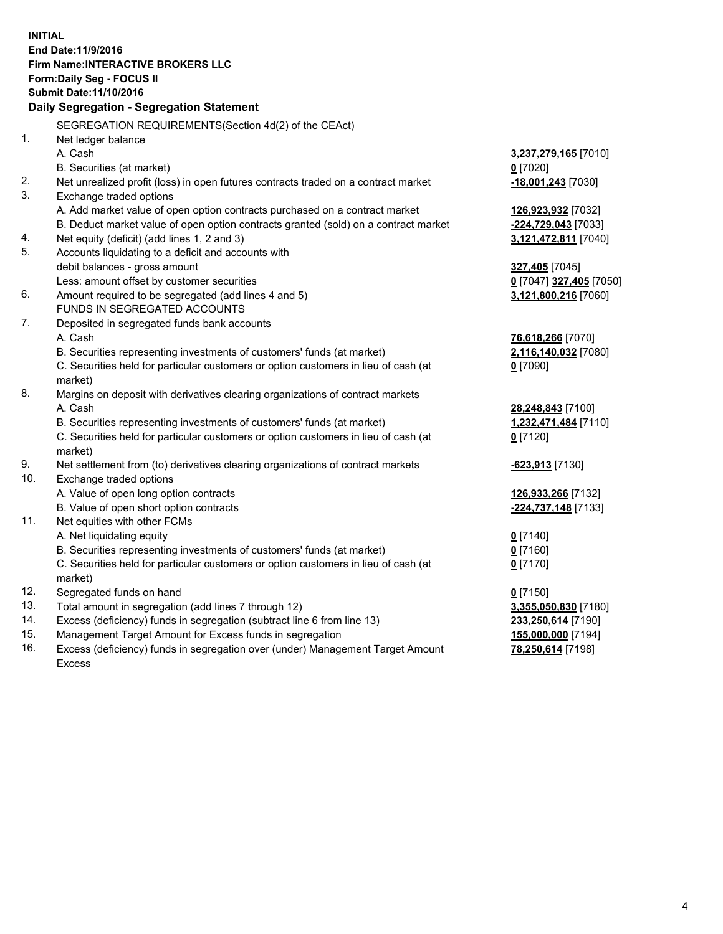**INITIAL End Date:11/9/2016 Firm Name:INTERACTIVE BROKERS LLC Form:Daily Seg - FOCUS II Submit Date:11/10/2016 Daily Segregation - Segregation Statement** SEGREGATION REQUIREMENTS(Section 4d(2) of the CEAct) 1. Net ledger balance A. Cash **3,237,279,165** [7010] B. Securities (at market) **0** [7020] 2. Net unrealized profit (loss) in open futures contracts traded on a contract market **-18,001,243** [7030] 3. Exchange traded options A. Add market value of open option contracts purchased on a contract market **126,923,932** [7032] B. Deduct market value of open option contracts granted (sold) on a contract market **-224,729,043** [7033] 4. Net equity (deficit) (add lines 1, 2 and 3) **3,121,472,811** [7040] 5. Accounts liquidating to a deficit and accounts with debit balances - gross amount **327,405** [7045] Less: amount offset by customer securities **0** [7047] **327,405** [7050] 6. Amount required to be segregated (add lines 4 and 5) **3,121,800,216** [7060] FUNDS IN SEGREGATED ACCOUNTS 7. Deposited in segregated funds bank accounts A. Cash **76,618,266** [7070] B. Securities representing investments of customers' funds (at market) **2,116,140,032** [7080] C. Securities held for particular customers or option customers in lieu of cash (at market) **0** [7090] 8. Margins on deposit with derivatives clearing organizations of contract markets A. Cash **28,248,843** [7100] B. Securities representing investments of customers' funds (at market) **1,232,471,484** [7110] C. Securities held for particular customers or option customers in lieu of cash (at market) **0** [7120] 9. Net settlement from (to) derivatives clearing organizations of contract markets **-623,913** [7130] 10. Exchange traded options A. Value of open long option contracts **126,933,266** [7132] B. Value of open short option contracts **-224,737,148** [7133] 11. Net equities with other FCMs A. Net liquidating equity **0** [7140] B. Securities representing investments of customers' funds (at market) **0** [7160] C. Securities held for particular customers or option customers in lieu of cash (at market) **0** [7170] 12. Segregated funds on hand **0** [7150] 13. Total amount in segregation (add lines 7 through 12) **3,355,050,830** [7180] 14. Excess (deficiency) funds in segregation (subtract line 6 from line 13) **233,250,614** [7190] 15. Management Target Amount for Excess funds in segregation **155,000,000** [7194] **78,250,614** [7198]

16. Excess (deficiency) funds in segregation over (under) Management Target Amount Excess